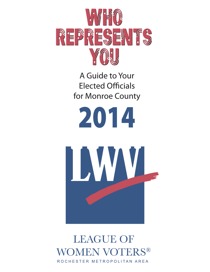

A Guide to Your **Elected Officials** for Monroe County



# **LEAGUE OF WOMEN VOTERS®** ROCHESTER METROPOLITAN AREA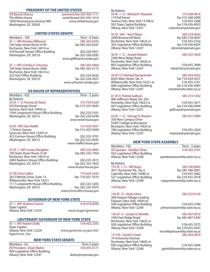# PRESIDENT OF THE UNITED STATES

**(D) Barack Obama comment line 202-456-1111** 1600 Pennsylvania Avenue NW Washington, DC 20500

switchboard 202-456-1414<br>www.whitehouse.gov

www.gillibrand.senate.gov

www.schumer.senate.gov

www.maffei.house.gov

www.louise.house.gov

# UNITED STATES SENATE

Members - 100<br>
(D - I - WF) Kirsten Gillibrand<br>
(D - I - WF) Kirsten Gillibrand<br>
(D - I - WF) Kirsten Gillibrand<br>
(D - I - WF) Kirsten Gillibrand **(D - I - WF) Kirsten Gillibrand 585-263-6250** 100 State Street Room 4195 Rochester, New York 14614 or 478 Russell Senate Office Building 202-224-4451 Washington, DC 20510 **fax 202-228-0282** 

# **(D - I - WF) Charles E. Schumer 585-263-5866**

100 State Street Room 3040 Rochester, New York 14614 or 322 Hart Office Building 202-224-6542 Washington, DC 20510

# US HOUSE OF REPRESENTATIVES

| Members - 435                        | Term - 2 years     |
|--------------------------------------|--------------------|
| <b>By District:</b>                  |                    |
| 23 (R - I - C) Thomas W. Reed        | 315-759-5229       |
| 433 Exchange Street                  | fax 315-325-4045   |
| Geneva, New York 14456 or            |                    |
| 1504 Longworth House Office Building | 202-225-3161       |
| Washington, DC 20515                 | fax 202-226-6599   |
|                                      | www.reed.house.gov |

# **24 (D - WF) Dan Maffei 315-423-5657**

1 Clinton Square **fax 315-423-5604** Syracuse, New York 13202 or 422 Cannon House Office Building 202-225-3701 Washington, DC 20515

**25 (D - I - WF) Louise Slaughter 585-232-4850<br>100 State Street Room 3120** fax 585-232-1954 100 State Street Room 3120 Rochester, New York 14614 or 2469 Rayburn House Office Building 202-225-3615 Washington, DC 20515

# **27 (R) Chris Collins 716-634-2324**

2813 Wehrle Drive, Suite 13 fax: 716-631-7610 Williamsville, New York 14221 1117 Longworth House Office Building 202-225-5265<br>Washington, DC 20515 fax: 202-225-5910 Washington, DC 20515 www.chriscollins.house.gov

## GOVERNOR OF NEW YORK STATE

**(D - I - WF) Andrew Cuomo 518-474-8390** State Capitol Albany, New York 12224 www.ny.gov/governor

# LIEUTENANT GOVERNOR OF NEW YORK STATE

**(D - I - WF) Robert Duffy 518-402-2292** State Capitol<br>Albany, New York 12224 ltgovernor\_bio

www.governor.ny.gov/sl2/

# NEW YORK STATE SENATE

Albany, New York 12247 skelos@nysenate.gov

| Members - 62                    | Term 2 years |
|---------------------------------|--------------|
| (R) President - Dean Skelos     | 518-455-3171 |
| 909 Legislative Office Building |              |

**By District:**

**54 (R - I - C) - Michael F. Nozzolio 315-568-9816** Seneca Falls, New York 13148 or 518-455-2366<br>518-426-6953 503 State Capitol Building 503 State Capitol Building<br>
Albany, New York 12247 **Face and State Profession** or and an analysis and albem Albany, New York 12247 Albany, New York 12247

**55 (D - WF) - Ted O'Brien 585-218-0034** 2494 Browncroft Blvd. fax 585-218-0047 Rochester, New York 14625 or 518-455-2162<br>302 Leaislative Office Building 5 ax 518-426-6925 302 Legislative Office Building<br>Albany, New York 12247 have borien@nysenate.gov Albany, New York 12247

# **56 (R - I - C) - Joseph Robach 585-225-3650**

2300 West Ridge Road Rochester, New York 14626 or 803 Legislative Office Building<br>Albany, New York 12247 **Sand Convertion** robach@nysenate.gov Albany, New York 12247

# **59 (R-I-C) Michael Ranzenhofer 585-454-0322**

8203 Main Street, Ste. 4 fax 716-634-4321<br>Williamsville. New York 14221 or fax 518-455-3161 Williamsville, New York 14221 or 518-455-3161<br>848 Legislative Office Building 6x 518-426-6963 848 Legislative Office Building fax 518-426-6963<br>Albany, New York 12247 fanz@senate.state.ny.us Albany, New York 12247

# **61 (R-C) Patrick Gallivan 585-272-1032**

900 Jefferson Road, Ste. 202 Henrietta, New York 14623 or 518-455-3471 947 Legislative Office Building<br>Albany, New York 12247 **Face and Fash and State Seating** and Albany, New York 12247

# **62 (R - I - C) - George D. Maziarz 585-637-5800**

350 New Campus Drive SUNY College at Brockport Brockport, New York 14420 or 708 Legislative Office Building 518-455-2024 Albany, New York 12247

fax 315-568-2090<br>518-455-2366

gallivan@nysenate.gov

# NEW YORK STATE ASSEMBLY

Members -150 Term - 2 years **(D) Speaker - Sheldon Silver** 932 Legislative Office Building<br>Albany, New York 12248

# **By District:**

**133 (R - I - C) - Bill Nojay 585-346-0002** 3011 Rochester Rd., Ste.3 fax 585-346-0001 Lakeville, New York 14480 or 518-455-5662<br>127 Legislative Office Building 527 Legislative Office Building 527 Legislative Office Building Albany, New York 12248 nojayw@assembly.state.ny.us

# **134 Vacant**

**135 (R - C) - Mark Johns 585-223-9130**

268 Fairport Village Landing Fairport, New York 14450 or

1945 East Ridge Road Rochester, New York 14622 or 926 Legislative Office Building<br>Albany, New York 12248 **1988 18th** fax 518-455-5647 Albany, New York 12248

# **137 (D) - David F. Gantt**

74 University Avenue Rochester, New York 14605 or 830 Legislative Office Building<br>Albany, New York 12248 discussembly.state.ny.us

speaker@assembly.state.ny.us

549 Legislative Office Building 518-455-5784 johnsm@assembly.state.ny.us

**136 (D - I) - Joseph D. Morelle 585-467-0410**

morellej@assembly.state.ny.us

ganttd@assembly.state.ny.us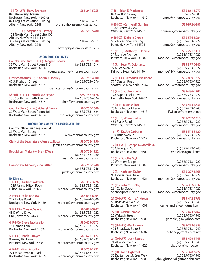| 138 (D - WF) - Harry Bronson<br>840 University Avenue<br>Rochester, New York 14607 or | 585-244-5255                                                  | 7 (R) - Brian E. Marianetti<br>82 Oak Bridge Way<br>Rochester, New York 14612 | 585-861-8977<br>585-392-7600<br>monroe7@monroecounty.gov |
|---------------------------------------------------------------------------------------|---------------------------------------------------------------|-------------------------------------------------------------------------------|----------------------------------------------------------|
| 821 Legislative Office Building<br>Albany, New York 12248                             | 518-455-4527<br>bronsonh@assembly.state.ny.us                 | 8 (R-I-C) - Carmen F. Gumina                                                  | 585-872-6381                                             |
| 139 (R - I - C) - Stephen M. Hawley                                                   | 585-589-5780                                                  | 1082 Everwild View<br>Webster, New York 14580                                 | monroe8@monroecounty.gov                                 |
| 121 North Main Street Suite 100<br>Albion, New York 14411 or                          |                                                               | 9 (R-I-C) - Debbie Drawe                                                      | 585-586-8284                                             |
| 329 Legislative Office Building<br>Albany, New York 12248                             | 518-455-5811                                                  | 5 Cobblestone Crossing<br>Penfield, New York 14526                            | (w) 585-753-1922<br>monroe9@monroecounty.gov             |
|                                                                                       | hawleys@assembly.state.ny.us                                  | 10 (R-I-C) - Anthony J. Daniele                                               | 585-271-1111                                             |
|                                                                                       |                                                               | 31 Monroe Avenue                                                              | (w) 585-753-1922                                         |
| <b>MONROE COUNTY</b><br><b>County Executive (R - I - C) - Maggie Brooks</b>           | 585-753-1000                                                  | Pittsford, New York 14534                                                     | monroe10@monroecounty.gov                                |
| 39 West Main Street Room 110<br>Rochester, New York 14614                             | fax 585-753-1014                                              | 11 (R) - Sean M. Delehanty<br>27 Miles Avenue                                 | 585-377-0149<br>(w) 585-753-1922                         |
|                                                                                       | countyexecutive@monroecounty.gov                              | Fairport, New York 14450                                                      | monroe11@monroecounty.gov                                |
| District Attorney (D) - Sandra J. Doorley                                             | 585-753-4500                                                  | 12 (R-I-C) - Jeff Adair, President                                            | 585-889-1377                                             |
| 47 S. Fitzhugh Street                                                                 | fax 585-753-4576                                              | 777 Quaker Road                                                               | (w) 585-753-1922                                         |
| Rochester, New York 14614                                                             | districtattorney@monroecounty.gov                             | Scottsville, New York, 14567                                                  | monroe12@monroecounty.gov                                |
|                                                                                       |                                                               | 13 (R-I-C) - John Howland                                                     | 585-486-4702                                             |
| Sheriff (R - I - C) - Patrick M. O'Flynn                                              | 585-753-4178                                                  | 128 Aspen Look Drive                                                          | (w) 585-753-1922                                         |
| 130 South Plymouth Avenue<br>Rochester, New York 14614                                | fax 585-753-4524<br>sheriff@monroecounty.gov                  | Henrietta, New York 14467                                                     | monroe13@monroecounty.gov                                |
|                                                                                       |                                                               | 14 (D-I) - Justin Wilcox                                                      | 585-473-6631                                             |
| County Clerk (R - I - C) - Cheryl Dinolfo                                             | 585-753-1600                                                  | 75 Middlebrook Lane                                                           | (w) 585-753-1940                                         |
| 39 West Main Street Room 101<br>Rochester, New York 14614                             | fax 585-753-1624<br>mcclerk@monroecounty.gov                  | Rochester, New York 14618                                                     | jfwilcox@frontiernet.net                                 |
|                                                                                       |                                                               | 15 (R-I-C) - Dan Quatro<br>488 Plank Road                                     | 585-787-1310<br>(w) 585-753-1922                         |
| <b>MONROE COUNTY LEGISLATURE</b>                                                      |                                                               | Webster, New York 14580                                                       | monroe15@monroecounty.gov                                |
| County Office Building Room 410<br>39 West Main Street                                |                                                               | 16 (R) - Dr. Joe Carbone                                                      | 585-544-3620                                             |
| Rochester, New York 14614                                                             | www.monroecounty.gov                                          | 490 Titus Avenue<br>Rochester, New York 14617                                 | (w) 585-753-1922<br>monroe16@monroecounty.gov            |
| Clerk of the Legislature - Jamie L. Slocum                                            | 585-753-1950                                                  |                                                                               |                                                          |
|                                                                                       | jamieslocum@monroecounty.gov                                  | 17 (D-I-WF) - Joseph D. Morelle Jr.<br>25 Clarington St                       | (w) 585-753-1940                                         |
| <b>Republican Majority - Brett T. Walsh</b>                                           | 585-753-1922<br>fax 585-753-1960                              | Rochester, New York 14609                                                     | JDMorellejr@gmail.com                                    |
|                                                                                       | bwalsh@monroecounty.gov                                       | 18 (R) - Dorothy Styk                                                         |                                                          |
|                                                                                       |                                                               | 32 Whittlers Ridge                                                            | (w) 585-753-1922                                         |
| <b>Democratic Minority - Joe Rittler</b>                                              | 585-753-1940<br>fax 585-753-1946<br>jrittler@monroecounty.gov | Pittsford, New York 14534<br>19 (R) - Kathleen Taylor                         | monroe18@monroecounty.gov<br>585-227-8465                |
|                                                                                       |                                                               | 91 Flower Dale Drive                                                          | (w) 585-753-1922                                         |
| <b>By District:</b>                                                                   |                                                               | Rochester, New York 14626                                                     | monroe19@monroecounty.gov                                |
| 1 (R-I-C) - Richard Yolevich<br>1035 Parma-Hilton Road                                | 585-392-3226<br>(w) 585-753-1922                              | 20 (R) - Robert J. Colby                                                      | 585-352-3537                                             |
| Hilton, New York 14468                                                                | monroe1@monroecounty.gov                                      | 261 Colby Street                                                              | (w) 585-753-1922                                         |
|                                                                                       |                                                               | Spencerport, New York 14559                                                   | monroe20@monroecounty.gov                                |
| 2 (R-I-C) - Mike Rockow                                                               | 585-637-6204<br>(w) 585-424-5800                              | 21 (D-I-WF) - Carrie Andrews                                                  | 585-442-5756                                             |
| 222 Ladue Road<br>Brockport, New York 14420                                           | monroe2@monroecounty.gov                                      | 50 Roseview Avenue                                                            | (w) 585-753-1940                                         |
|                                                                                       |                                                               | Rochester, New York 14609                                                     | carrie_andrews@hotmail.com                               |
| 3 (R-I-C)) - Mary A. Valerio<br>43 DaVinci Drive                                      | 585-889-9707<br>(w) 585-753-1922                              | 22 (D) - Glenn Gamble                                                         | 585-473-6767                                             |
| Chili, New York 14624                                                                 | monroe3@monroecounty.gov                                      | 25 Wabash Street                                                              | (w) 585-753-1940                                         |
|                                                                                       |                                                               | Rochester, New York 14609                                                     | gamble_g1@yahoo.com                                      |
| 4 (R-I-C) - Steve Tucciarello                                                         | 585-429-5575                                                  | 23 (D-I-WF) - Paul Haney                                                      | 585-232-3858                                             |
| 18 Horatio Lane<br>Rochester, New York 14624                                          | (w) 585-753-1922<br>monroe4@monroecounty.gov                  | 424 Broadway Suite B                                                          | (w) 585-753-1940                                         |
|                                                                                       |                                                               | Rochester, New York 14607                                                     | pehaney@frontiernet.net                                  |
| 5 (R-I-C) - Karla F. Boyce                                                            | 585-624-1177                                                  | 24 (D-I-WF) - Josh Bauroth                                                    | 585-429-5445                                             |
| 8 Surrey Hill Lane<br>Pittsford, New York 14534                                       | (w) 585-753-1922<br>monroe5@monroecounty.gov                  | 24 Alliance Avenue                                                            | (w) 585-753-1940                                         |
|                                                                                       |                                                               | Rochester, New York 14620                                                     | jpbauroth@yahoo.com                                      |
| 6 (R-I-C) - Fred Ancello                                                              | 585-753-1922                                                  | $2F(D)$ . Take Fields                                                         | non dao nada                                             |

221 Meadowbriar Road (w) 585-663-7573 monroe6@monroecounty.gov

Rochester, New York 14608 johnlightfoot@lightfootjohn.com

**25 (D) - John Lightfoot 585-328-5222** 52 Dr. Samuel McCree Way (w) 585-753-1940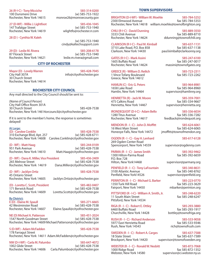**26 (R-I-C) - Tony Micciche 585-314-0200** 100 Dunsmere Drive<br>Rochester, New York 14615

**27 (D-WF) - Willie J. Lightfoot 585-436-1045** 147 Trafalgar Street<br>Rochester, New York 14619

**28 (D ) - Cynthia W. Kaleh** 

**29 (D) - Leslie M. Rivera 585-208-6178** Rochester, New York 14621 leslie.m.rivera@gmail.com

# CITY OF ROCHESTER

**Mayor (D) - Lovely Warren 585-428-7045**<br>City Hall 307A strategies the following info@cityofrochester.gov 30 Church Street Rochester, New York 14614

info@cityofrochester.gov

monroe26@monroecounty.gov

wlightfo@rochester.rr.com

cindy@kaltechsupport.com

(w) 585-753-1940

 $(w)$  585-753-1940

# ROCHESTER CITY COUNCIL

Any mail directed to the City Council should be sent to:

(*Name of Council Person*) City Hall Office Room 301A 30 Church Street 585-428-7538 Rochester, New York 14614orcouncil@cityofrochester.gov

If it is sent to the member's home, the response is sometimes delayed!

# **At Large:**

**(D) - Carolee Conklin 585-428-7538** 310 Exchange Blvd, Apt. 257 (w) 585-428-6711 Rochester, New York 14608 Carolee.Conklin@cityofrochester.gov

951 Park Avenue (w) 585-428-7538<br>Rochester, New York 14610 Matt.Haag@cityofrochester.gov

**(D - WF) - Matt Haag 585-244-0109** Matt.Haag@cityofrochester.gov

**(D - WF) - Dana K. Miller, Vice President 585-436-2409** 265 Melrose Street (w) 585-428-7538<br>Rochester, New York 14619 Dana.Miller@cityofrochester.gov

Dana.Miller@cityofrochester.gov

**(D - WF) - Jacklyn Ortiz 585-428-7538** 45 Ontario Street

Jacklyn. Ortiz@cityofrochester.gov

**(D) - Loretta C. Scott, President 585-482-0407** 171 Berwick Road<br>Rochester, New York 14609

Loretta.Scott@cityofrochester.gov **By District:** 42 Westminster Road<br>Rochester, New York 14607

**E (D) - Elaine M. Spaull 585-271-6665** Elaine. Spaull@cityofrochester.gov

**NE (D) Michael A. Patterson 585-451-2024** 1547 North Goodman Street Rochester, New York 14609 Michael.Patterson@cityofrochester.gov

**S (D-WF) - Adam McFadden 585-428-7538** 178 Farragut Street Rochester, New York 14611 Adam.McFadden@cityofrochester.gov

**NW (D-I-WF) - Carla M. Palumbo 585-647-4072** 1002 Glide Street (w) 585-428-7538<br>Rochester, New York 14606 Carla.Palumbo@cityofrochester.gov Carla.Palumbo@cityofrochester.gov **BRIGHTON (D-I-WF) - William W. Moehle 585-784-5252** 2300 Elmwood Avenue

**CHILI (R-I-C) - David Dunning 585-889-3550**

**CLARKSON (R-I-C) - Paul M. Kimball 585-637-1131** 3710 Lake Road, P.O. Box 858 fax 585-637-1138<br>Clarkson, New York 14430 faul.kimball@clarksonny.org

1605 Buffalo Road<br>Rochester, New York 14624 massini@townofgates.org Rochester, New York 14624

**GREECE (R) - William D. Reilich 585-723-2311** 1 Vince Tofany Boulevard Greece, New York 14612

**HENRIETTA (R) - Jack W. Moore 585-359-7001** Henrietta, New York 14467 supervisor@henrietta.org

**IRONDEQUOIT (D-I-C) - Adam Bello 585-336-6034** 1280 Titus Avenue<br>Rochester, New York 14617 feedback@irondequoit.org

**MENDON (R - I - C) - John D. Moffitt 585-624-6061** 16 West Main Street fax 585-624-6065<br>Honeoye Falls, New York 14472 imoffitt@townofmendon.org Honeoye Falls, New York 14472

**OGDEN (R-I-C) - Gay H. Lenhard 585-617-6128** 269 Ogden Center Road Spencerport, New York 14559 supervisor@ogdenny.com

**PARMA (R - I - C) - James Smith 585-392-9462** 1300 Hilton-Parma Road P.O. Box 728 Hilton, New York14468 supervisor@parmany.org

**PENFIELD (R - I - C) - Tony LaFountain 585-340-8631** 3100 Atlantic Avenue fax 585-340-8762<br>Penfield, New York14526 fax 5upervisor@penfield.org

**PERINTON (R - I - C) - Michael G. Barker 585-223-0770<br>1350 Turk Hill Road 1350 Turk Hill Road** 1350 Turk Hill Road fax 585-223-3629<br>Fairport, New York 14450 fairport, New York 14450 Fairport, New York 14450

**PITTSFORD (R - I-C) - William A. Smith, Jr. 585-248-6220** 11 South Main Street Pittsford, New York 14534

**RIGA (R - I - C) - Robert E. Ottley 585-293-3880** 6460 Buffalo Road<br>Churchville, New York 14428 bottley@townofriga.org Churchville, New York 14428

**RUSH (R - I - C) - Richard Anderson 585-533-9058** 5977 East Henrietta Road<br>Rush, New York 14543

18 State Street fax 585-637-7389<br>Brockport, New York 14420 supervisor@townofsweden.org

**WEBSTER (R - I - C) - Ronald W. Nesbitt 585-872-7068** 1000 Ridge Road<br>Webster, New York 14580

Rochester, New York 14618 william.moehle@townofbrighton.org

3333 Chili Avenue<br>Rochester, New York 14624 ddunning@townofchili.org ddunning@townofchili.org

paul.kimball@clarksonny.org

**GATES (R-I-C) - Mark Assini 585-247-6100**

**HAMLIN (C) - Eric G. Peters 585-964-8981** 1658 Lake Road fax 585-964-8960<br>Hamlin. New York 14464 fax supervisor@hamlinny.org supervisor@hamlinny.org

fax 585-334-9667

feedback@irondequoit.org

supervisor@penfield.org

rich@townofrush.com

**SWEDEN (R - I - C) - Robert A. Carges 585-637-7588** supervisor@townofsweden.org

supervisor@ci.webster.ny.us

# TOWN SUPERVISORS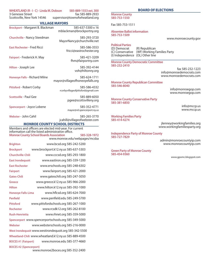**WHEATLAND (R - I - C) - Linda M. Dobson** 585-889-1553 ext. 300<br>3 Genesee Street for the fax 585-889-2933

3 Genesee Street fax 585-889-2933<br>Scottsville, New York 14546 supervisor@townofwheatland.org supervisor@townofwheatland.org

# VILLAGE MAYORS

**Brockport** - Margaret B. Blackman 585-637-5300 x 16 mblackman@brockportny.org

**Churchville** - Nancy Steedman 585-293-3720 MayorNancy@churchville.net

**East Rochester** - Fred Ricci 585-586-3553 fricci@eastrochester.org

**Fairport** - Frederick H. May 585-421-3209 fhm@fairportny.com

**Hilton** - Joseph Lee 585-392-4144 voh@hiltonny.org

**Honeoye Falls** - Richard Milne 585-624-1711 mayor@villageofhoneoyefalls.org

Pittsford - Robert Corby 585-586-4332 rcorbyvillageofpittsford@gmail.com

**Scottsville** - Paul Gee 585-889-6050 pgee@scottsvilleny.org

**Spencerport** - Joyce Lobene 585-352-4771 mayor@vil.spencerport.ny.us

**Webster** - John Cahil 585-265-3770 jcahill@villageofwebster.com

# MONROE COUNTY SCHOOL DISTRICTS

Members and officers are elected mid-year. For current information call the listed administrative office. **Monroe County School Boards Association 585-328-1972** www.monroe.edu/webpages/mcsba

| <b>Brighton</b>                                                    | www.bcsd.org 585-242-5200                             |  |
|--------------------------------------------------------------------|-------------------------------------------------------|--|
| <b>Brockport</b>                                                   | www.brockport.k12.ny.us 585-637-5303                  |  |
| Churchville-Chili                                                  | www.cccsd.org 585-293-1800                            |  |
| <b>East Irondequoit</b>                                            | www.eastiron.org 585-339-1200                         |  |
| <b>East Rochester</b>                                              | www.erschools.org 585-248-6302                        |  |
| <b>Fairport</b>                                                    | www.fairport.org 585-421-2000                         |  |
| <b>Gates-Chili</b>                                                 | www.gateschili.org 585-247-5050                       |  |
| Greece                                                             | www.greece.k12.ny.us 585-966-2000                     |  |
| <b>Hilton</b>                                                      | www.hilton.k12.ny.us 585-392-1000                     |  |
| <b>Honeoye Falls-Lima</b>                                          | www.hflcsd.org 585-624-7000                           |  |
| Penfield                                                           | www.penfield.edu 585-249-5700                         |  |
| <b>Pittsford</b>                                                   | www.pittsfordschools.org 585-267-1000                 |  |
| <b>Rochester</b>                                                   | www.rcsdk12.org 585-262-8100                          |  |
| <b>Rush-Henrietta</b>                                              | www.rhnet.org 585-359-5000                            |  |
|                                                                    | Spencerport www.spencerportschools.org 585-349-5000   |  |
| Webster                                                            | www.websterschools.org 585-216-0000                   |  |
|                                                                    | West Irondequoit www.westirondequoit.org 585-342-5500 |  |
|                                                                    | Wheatland-Chili www.wheatland.k12.ny.us 585-889-4500  |  |
| <b>BOCES #1 (Fairport)</b>                                         | www.monroe.edu 585-377-4660                           |  |
| <b>BOCES #2 (Spencerport)</b><br>www.monroe2boces.org 585-352-2400 |                                                       |  |

# BOARD OF ELECTIONS

**Monroe County 585-753-1550**

Fax 585-753-1511

**Absentee Ballot information 585-753-1509**

www.monroecounty.gov

**Political Parties** (D) Democrat (R) Republican<br>(C) Conservative (WF) Working F (WF) Working Families Party (I) Independence (OL) Other line

**Monroe County Democratic Committee 585-232-2410**

> fax 585-232-1223 info@monroedemocrats.com www.monroedemocrats.com

**Monroe County Republican Committee 585-546-8040**

info@monroegop.com www.monroegop.com

**Monroe County Conservative Party 585-381-6850**

info@mccp.us www.mccp.us

**Working Families Party 585-414-4274**

jlenney@workingfamilies.org www.workingfamiliesparty.org

**Independence Party of Monroe County 585-727-7829**

admin@monroecountyip.com www.monroecountyip.com

**Green Party of Monroe County 585-454-9360**

www.gpomc.blogspot.com